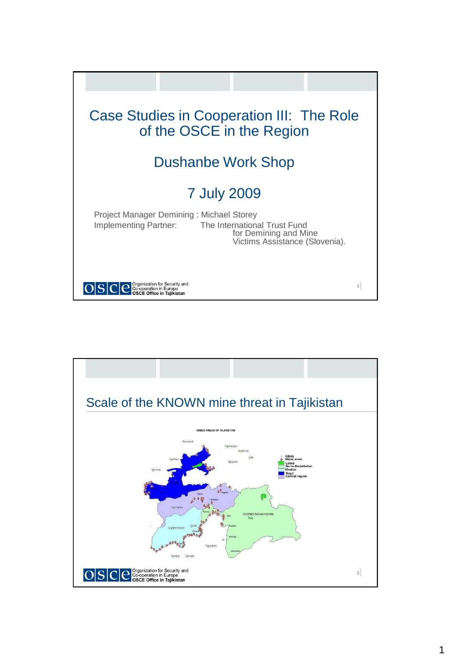

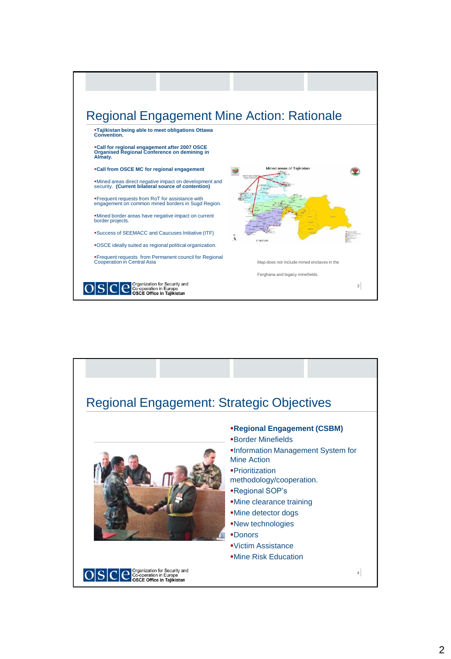